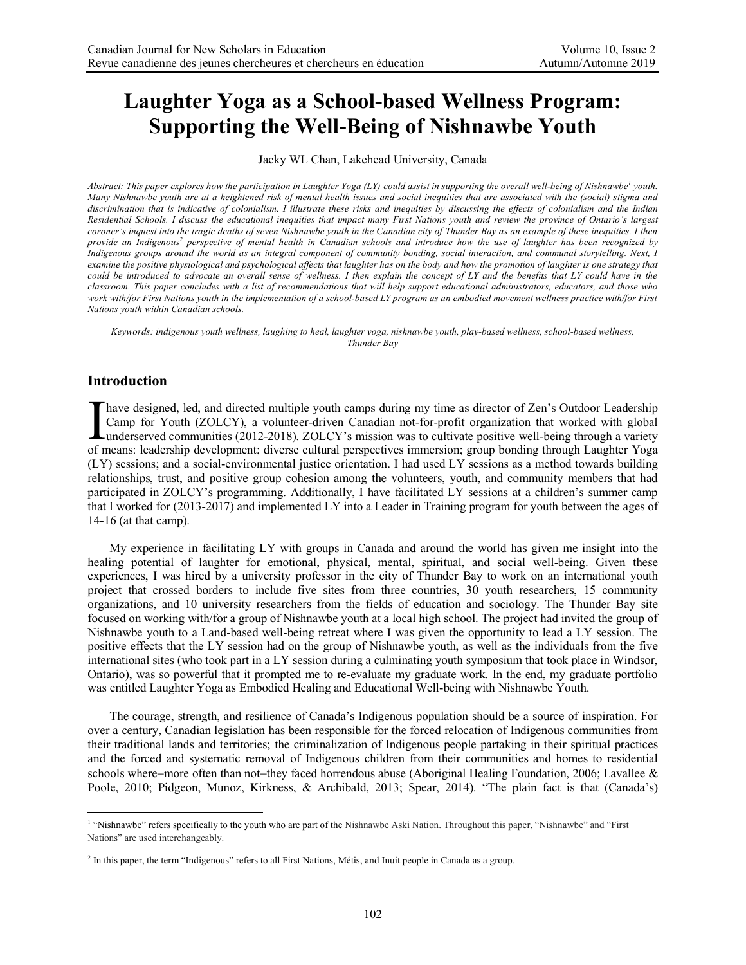# **Laughter Yoga as a School-based Wellness Program: Supporting the Well-Being of Nishnawbe Youth**

Jacky WL Chan, Lakehead University, Canada

Abstract: This paper explores how the participation in Laughter Yoga (LY) could assist in supporting the overall well-being of Nishnawbe<sup>1</sup> youth. *Many Nishnawbe youth are at a heightened risk of mental health issues and social inequities that are associated with the (social) stigma and discrimination that is indicative of colonialism. I illustrate these risks and inequities by discussing the effects of colonialism and the Indian Residential Schools. I discuss the educational inequities that impact many First Nations youth and review the province of Ontario's largest coroner's inquest into the tragic deaths of seven Nishnawbe youth in the Canadian city of Thunder Bay as an example of these inequities. I then*  provide an Indigenous<sup>2</sup> perspective of mental health in Canadian schools and introduce how the use of laughter has been recognized by *Indigenous groups around the world as an integral component of community bonding, social interaction, and communal storytelling. Next, I examine the positive physiological and psychological affects that laughter has on the body and how the promotion of laughter is one strategy that could be introduced to advocate an overall sense of wellness. I then explain the concept of LY and the benefits that LY could have in the classroom. This paper concludes with a list of recommendations that will help support educational administrators, educators, and those who work with/for First Nations youth in the implementation of a school-based LY program as an embodied movement wellness practice with/for First Nations youth within Canadian schools.*

*Keywords: indigenous youth wellness, laughing to heal, laughter yoga, nishnawbe youth, play-based wellness, school-based wellness, Thunder Bay*

# **Introduction**

have designed, led, and directed multiple youth camps during my time as director of Zen's Outdoor Leadership Camp for Youth (ZOLCY), a volunteer-driven Canadian not-for-profit organization that worked with global Thave designed, led, and directed multiple youth camps during my time as director of Zen's Outdoor Leadership<br>Camp for Youth (ZOLCY), a volunteer-driven Canadian not-for-profit organization that worked with global<br>underser of means: leadership development; diverse cultural perspectives immersion; group bonding through Laughter Yoga (LY) sessions; and a social-environmental justice orientation. I had used LY sessions as a method towards building relationships, trust, and positive group cohesion among the volunteers, youth, and community members that had participated in ZOLCY's programming. Additionally, I have facilitated LY sessions at a children's summer camp that I worked for (2013-2017) and implemented LY into a Leader in Training program for youth between the ages of 14-16 (at that camp).

My experience in facilitating LY with groups in Canada and around the world has given me insight into the healing potential of laughter for emotional, physical, mental, spiritual, and social well-being. Given these experiences, I was hired by a university professor in the city of Thunder Bay to work on an international youth project that crossed borders to include five sites from three countries, 30 youth researchers, 15 community organizations, and 10 university researchers from the fields of education and sociology. The Thunder Bay site focused on working with/for a group of Nishnawbe youth at a local high school. The project had invited the group of Nishnawbe youth to a Land-based well-being retreat where I was given the opportunity to lead a LY session. The positive effects that the LY session had on the group of Nishnawbe youth, as well as the individuals from the five international sites (who took part in a LY session during a culminating youth symposium that took place in Windsor, Ontario), was so powerful that it prompted me to re-evaluate my graduate work. In the end, my graduate portfolio was entitled Laughter Yoga as Embodied Healing and Educational Well-being with Nishnawbe Youth.

The courage, strength, and resilience of Canada's Indigenous population should be a source of inspiration. For over a century, Canadian legislation has been responsible for the forced relocation of Indigenous communities from their traditional lands and territories; the criminalization of Indigenous people partaking in their spiritual practices and the forced and systematic removal of Indigenous children from their communities and homes to residential schools where–more often than not–they faced horrendous abuse (Aboriginal Healing Foundation, 2006; Lavallee & Poole, 2010; Pidgeon, Munoz, Kirkness, & Archibald, 2013; Spear, 2014). "The plain fact is that (Canada's)

 <sup>1</sup> "Nishnawbe" refers specifically to the youth who are part of the Nishnawbe Aski Nation. Throughout this paper, "Nishnawbe" and "First Nations" are used interchangeably.

<sup>&</sup>lt;sup>2</sup> In this paper, the term "Indigenous" refers to all First Nations, Métis, and Inuit people in Canada as a group.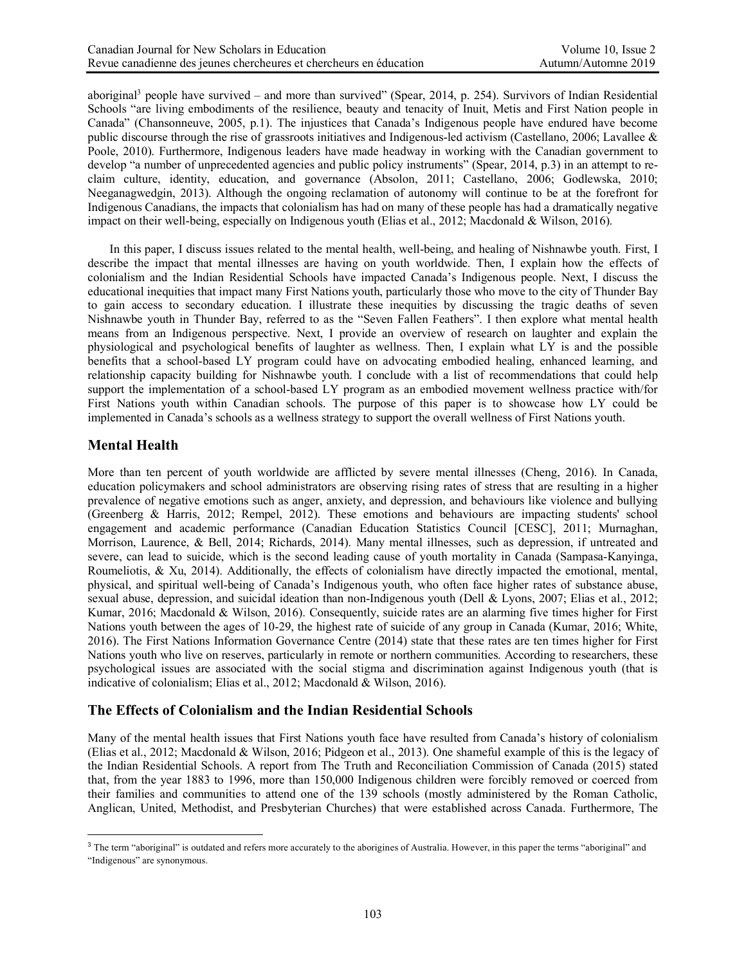aboriginal<sup>3</sup> people have survived – and more than survived" (Spear, 2014, p. 254). Survivors of Indian Residential Schools "are living embodiments of the resilience, beauty and tenacity of Inuit, Metis and First Nation people in Canada" (Chansonneuve, 2005, p.1). The injustices that Canada's Indigenous people have endured have become public discourse through the rise of grassroots initiatives and Indigenous-led activism (Castellano, 2006; Lavallee & Poole, 2010). Furthermore, Indigenous leaders have made headway in working with the Canadian government to develop "a number of unprecedented agencies and public policy instruments" (Spear, 2014, p.3) in an attempt to reclaim culture, identity, education, and governance (Absolon, 2011; Castellano, 2006; Godlewska, 2010; Neeganagwedgin, 2013). Although the ongoing reclamation of autonomy will continue to be at the forefront for Indigenous Canadians, the impacts that colonialism has had on many of these people has had a dramatically negative impact on their well-being, especially on Indigenous youth (Elias et al., 2012; Macdonald & Wilson, 2016).

In this paper, I discuss issues related to the mental health, well-being, and healing of Nishnawbe youth. First, I describe the impact that mental illnesses are having on youth worldwide. Then, I explain how the effects of colonialism and the Indian Residential Schools have impacted Canada's Indigenous people. Next, I discuss the educational inequities that impact many First Nations youth, particularly those who move to the city of Thunder Bay to gain access to secondary education. I illustrate these inequities by discussing the tragic deaths of seven Nishnawbe youth in Thunder Bay, referred to as the "Seven Fallen Feathers". I then explore what mental health means from an Indigenous perspective. Next, I provide an overview of research on laughter and explain the physiological and psychological benefits of laughter as wellness. Then, I explain what LY is and the possible benefits that a school-based LY program could have on advocating embodied healing, enhanced learning, and relationship capacity building for Nishnawbe youth. I conclude with a list of recommendations that could help support the implementation of a school-based LY program as an embodied movement wellness practice with/for First Nations youth within Canadian schools. The purpose of this paper is to showcase how LY could be implemented in Canada's schools as a wellness strategy to support the overall wellness of First Nations youth.

# **Mental Health**

More than ten percent of youth worldwide are afflicted by severe mental illnesses (Cheng, 2016). In Canada, education policymakers and school administrators are observing rising rates of stress that are resulting in a higher prevalence of negative emotions such as anger, anxiety, and depression, and behaviours like violence and bullying (Greenberg & Harris, 2012; Rempel, 2012). These emotions and behaviours are impacting students' school engagement and academic performance (Canadian Education Statistics Council [CESC], 2011; Murnaghan, Morrison, Laurence, & Bell, 2014; Richards, 2014). Many mental illnesses, such as depression, if untreated and severe, can lead to suicide, which is the second leading cause of youth mortality in Canada (Sampasa-Kanyinga, Roumeliotis, & Xu, 2014). Additionally, the effects of colonialism have directly impacted the emotional, mental, physical, and spiritual well-being of Canada's Indigenous youth, who often face higher rates of substance abuse, sexual abuse, depression, and suicidal ideation than non-Indigenous youth (Dell & Lyons, 2007; Elias et al., 2012; Kumar, 2016; Macdonald & Wilson, 2016). Consequently, suicide rates are an alarming five times higher for First Nations youth between the ages of 10-29, the highest rate of suicide of any group in Canada (Kumar, 2016; White, 2016). The First Nations Information Governance Centre (2014) state that these rates are ten times higher for First Nations youth who live on reserves, particularly in remote or northern communities. According to researchers, these psychological issues are associated with the social stigma and discrimination against Indigenous youth (that is indicative of colonialism; Elias et al., 2012; Macdonald & Wilson, 2016).

# **The Effects of Colonialism and the Indian Residential Schools**

Many of the mental health issues that First Nations youth face have resulted from Canada's history of colonialism (Elias et al., 2012; Macdonald & Wilson, 2016; Pidgeon et al., 2013). One shameful example of this is the legacy of the Indian Residential Schools. A report from The Truth and Reconciliation Commission of Canada (2015) stated that, from the year 1883 to 1996, more than 150,000 Indigenous children were forcibly removed or coerced from their families and communities to attend one of the 139 schools (mostly administered by the Roman Catholic, Anglican, United, Methodist, and Presbyterian Churches) that were established across Canada. Furthermore, The

 $\overline{a}$ <sup>3</sup> The term "aboriginal" is outdated and refers more accurately to the aborigines of Australia. However, in this paper the terms "aboriginal" and "Indigenous" are synonymous.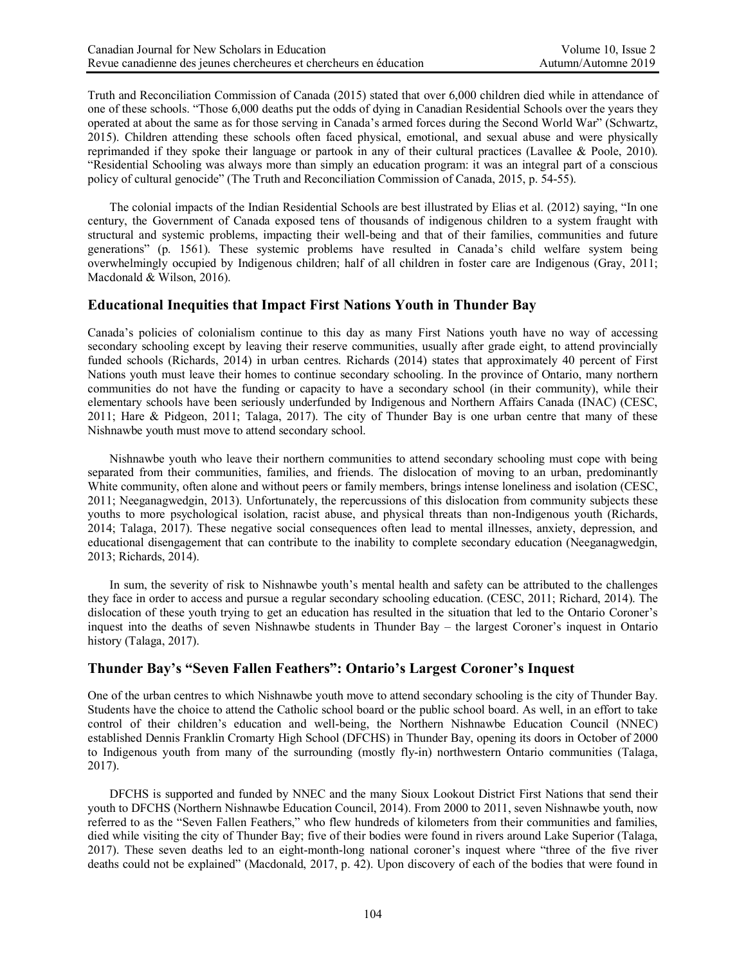Truth and Reconciliation Commission of Canada (2015) stated that over 6,000 children died while in attendance of one of these schools. "Those 6,000 deaths put the odds of dying in Canadian Residential Schools over the years they operated at about the same as for those serving in Canada's armed forces during the Second World War" (Schwartz, 2015). Children attending these schools often faced physical, emotional, and sexual abuse and were physically reprimanded if they spoke their language or partook in any of their cultural practices (Lavallee & Poole, 2010). "Residential Schooling was always more than simply an education program: it was an integral part of a conscious policy of cultural genocide" (The Truth and Reconciliation Commission of Canada, 2015, p. 54-55).

The colonial impacts of the Indian Residential Schools are best illustrated by Elias et al. (2012) saying, "In one century, the Government of Canada exposed tens of thousands of indigenous children to a system fraught with structural and systemic problems, impacting their well-being and that of their families, communities and future generations" (p. 1561). These systemic problems have resulted in Canada's child welfare system being overwhelmingly occupied by Indigenous children; half of all children in foster care are Indigenous (Gray, 2011; Macdonald & Wilson, 2016).

## **Educational Inequities that Impact First Nations Youth in Thunder Bay**

Canada's policies of colonialism continue to this day as many First Nations youth have no way of accessing secondary schooling except by leaving their reserve communities, usually after grade eight, to attend provincially funded schools (Richards, 2014) in urban centres. Richards (2014) states that approximately 40 percent of First Nations youth must leave their homes to continue secondary schooling. In the province of Ontario, many northern communities do not have the funding or capacity to have a secondary school (in their community), while their elementary schools have been seriously underfunded by Indigenous and Northern Affairs Canada (INAC) (CESC, 2011; Hare & Pidgeon, 2011; Talaga, 2017). The city of Thunder Bay is one urban centre that many of these Nishnawbe youth must move to attend secondary school.

Nishnawbe youth who leave their northern communities to attend secondary schooling must cope with being separated from their communities, families, and friends. The dislocation of moving to an urban, predominantly White community, often alone and without peers or family members, brings intense loneliness and isolation (CESC, 2011; Neeganagwedgin, 2013). Unfortunately, the repercussions of this dislocation from community subjects these youths to more psychological isolation, racist abuse, and physical threats than non-Indigenous youth (Richards, 2014; Talaga, 2017). These negative social consequences often lead to mental illnesses, anxiety, depression, and educational disengagement that can contribute to the inability to complete secondary education (Neeganagwedgin, 2013; Richards, 2014).

In sum, the severity of risk to Nishnawbe youth's mental health and safety can be attributed to the challenges they face in order to access and pursue a regular secondary schooling education. (CESC, 2011; Richard, 2014). The dislocation of these youth trying to get an education has resulted in the situation that led to the Ontario Coroner's inquest into the deaths of seven Nishnawbe students in Thunder Bay – the largest Coroner's inquest in Ontario history (Talaga, 2017).

#### **Thunder Bay's "Seven Fallen Feathers": Ontario's Largest Coroner's Inquest**

One of the urban centres to which Nishnawbe youth move to attend secondary schooling is the city of Thunder Bay. Students have the choice to attend the Catholic school board or the public school board. As well, in an effort to take control of their children's education and well-being, the Northern Nishnawbe Education Council (NNEC) established Dennis Franklin Cromarty High School (DFCHS) in Thunder Bay, opening its doors in October of 2000 to Indigenous youth from many of the surrounding (mostly fly-in) northwestern Ontario communities (Talaga, 2017).

DFCHS is supported and funded by NNEC and the many Sioux Lookout District First Nations that send their youth to DFCHS (Northern Nishnawbe Education Council, 2014). From 2000 to 2011, seven Nishnawbe youth, now referred to as the "Seven Fallen Feathers," who flew hundreds of kilometers from their communities and families, died while visiting the city of Thunder Bay; five of their bodies were found in rivers around Lake Superior (Talaga, 2017). These seven deaths led to an eight-month-long national coroner's inquest where "three of the five river deaths could not be explained" (Macdonald, 2017, p. 42). Upon discovery of each of the bodies that were found in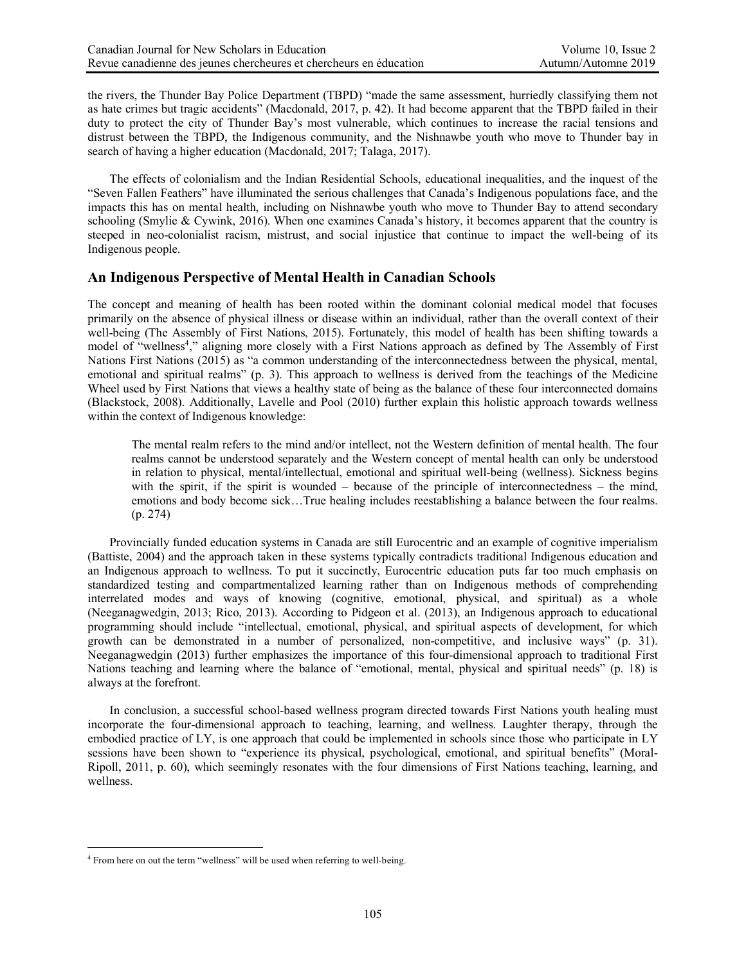the rivers, the Thunder Bay Police Department (TBPD) "made the same assessment, hurriedly classifying them not as hate crimes but tragic accidents" (Macdonald, 2017, p. 42). It had become apparent that the TBPD failed in their duty to protect the city of Thunder Bay's most vulnerable, which continues to increase the racial tensions and distrust between the TBPD, the Indigenous community, and the Nishnawbe youth who move to Thunder bay in search of having a higher education (Macdonald, 2017; Talaga, 2017).

The effects of colonialism and the Indian Residential Schools, educational inequalities, and the inquest of the "Seven Fallen Feathers" have illuminated the serious challenges that Canada's Indigenous populations face, and the impacts this has on mental health, including on Nishnawbe youth who move to Thunder Bay to attend secondary schooling (Smylie & Cywink, 2016). When one examines Canada's history, it becomes apparent that the country is steeped in neo-colonialist racism, mistrust, and social injustice that continue to impact the well-being of its Indigenous people.

## **An Indigenous Perspective of Mental Health in Canadian Schools**

The concept and meaning of health has been rooted within the dominant colonial medical model that focuses primarily on the absence of physical illness or disease within an individual, rather than the overall context of their well-being (The Assembly of First Nations, 2015). Fortunately, this model of health has been shifting towards a model of "wellness<sup>4</sup>," aligning more closely with a First Nations approach as defined by The Assembly of First Nations First Nations (2015) as "a common understanding of the interconnectedness between the physical, mental, emotional and spiritual realms" (p. 3). This approach to wellness is derived from the teachings of the Medicine Wheel used by First Nations that views a healthy state of being as the balance of these four interconnected domains (Blackstock, 2008). Additionally, Lavelle and Pool (2010) further explain this holistic approach towards wellness within the context of Indigenous knowledge:

The mental realm refers to the mind and/or intellect, not the Western definition of mental health. The four realms cannot be understood separately and the Western concept of mental health can only be understood in relation to physical, mental/intellectual, emotional and spiritual well-being (wellness). Sickness begins with the spirit, if the spirit is wounded – because of the principle of interconnectedness – the mind, emotions and body become sick…True healing includes reestablishing a balance between the four realms. (p. 274)

Provincially funded education systems in Canada are still Eurocentric and an example of cognitive imperialism (Battiste, 2004) and the approach taken in these systems typically contradicts traditional Indigenous education and an Indigenous approach to wellness. To put it succinctly, Eurocentric education puts far too much emphasis on standardized testing and compartmentalized learning rather than on Indigenous methods of comprehending interrelated modes and ways of knowing (cognitive, emotional, physical, and spiritual) as a whole (Neeganagwedgin, 2013; Rico, 2013). According to Pidgeon et al. (2013), an Indigenous approach to educational programming should include "intellectual, emotional, physical, and spiritual aspects of development, for which growth can be demonstrated in a number of personalized, non-competitive, and inclusive ways" (p. 31). Neeganagwedgin (2013) further emphasizes the importance of this four-dimensional approach to traditional First Nations teaching and learning where the balance of "emotional, mental, physical and spiritual needs" (p. 18) is always at the forefront.

In conclusion, a successful school-based wellness program directed towards First Nations youth healing must incorporate the four-dimensional approach to teaching, learning, and wellness. Laughter therapy, through the embodied practice of LY, is one approach that could be implemented in schools since those who participate in LY sessions have been shown to "experience its physical, psychological, emotional, and spiritual benefits" (Moral-Ripoll, 2011, p. 60), which seemingly resonates with the four dimensions of First Nations teaching, learning, and wellness.

<sup>&</sup>lt;sup>4</sup> From here on out the term "wellness" will be used when referring to well-being.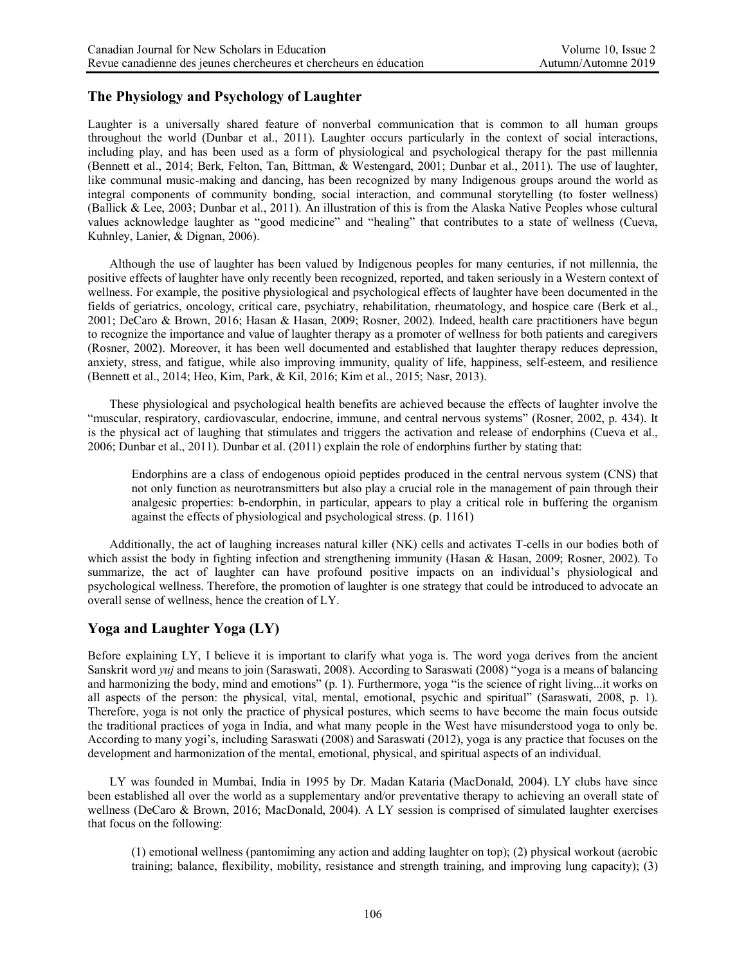## **The Physiology and Psychology of Laughter**

Laughter is a universally shared feature of nonverbal communication that is common to all human groups throughout the world (Dunbar et al., 2011). Laughter occurs particularly in the context of social interactions, including play, and has been used as a form of physiological and psychological therapy for the past millennia (Bennett et al., 2014; Berk, Felton, Tan, Bittman, & Westengard, 2001; Dunbar et al., 2011). The use of laughter, like communal music-making and dancing, has been recognized by many Indigenous groups around the world as integral components of community bonding, social interaction, and communal storytelling (to foster wellness) (Ballick & Lee, 2003; Dunbar et al., 2011). An illustration of this is from the Alaska Native Peoples whose cultural values acknowledge laughter as "good medicine" and "healing" that contributes to a state of wellness (Cueva, Kuhnley, Lanier, & Dignan, 2006).

Although the use of laughter has been valued by Indigenous peoples for many centuries, if not millennia, the positive effects of laughter have only recently been recognized, reported, and taken seriously in a Western context of wellness. For example, the positive physiological and psychological effects of laughter have been documented in the fields of geriatrics, oncology, critical care, psychiatry, rehabilitation, rheumatology, and hospice care (Berk et al., 2001; DeCaro & Brown, 2016; Hasan & Hasan, 2009; Rosner, 2002). Indeed, health care practitioners have begun to recognize the importance and value of laughter therapy as a promoter of wellness for both patients and caregivers (Rosner, 2002). Moreover, it has been well documented and established that laughter therapy reduces depression, anxiety, stress, and fatigue, while also improving immunity, quality of life, happiness, self-esteem, and resilience (Bennett et al., 2014; Heo, Kim, Park, & Kil, 2016; Kim et al., 2015; Nasr, 2013).

These physiological and psychological health benefits are achieved because the effects of laughter involve the "muscular, respiratory, cardiovascular, endocrine, immune, and central nervous systems" (Rosner, 2002, p. 434). It is the physical act of laughing that stimulates and triggers the activation and release of endorphins (Cueva et al., 2006; Dunbar et al., 2011). Dunbar et al. (2011) explain the role of endorphins further by stating that:

Endorphins are a class of endogenous opioid peptides produced in the central nervous system (CNS) that not only function as neurotransmitters but also play a crucial role in the management of pain through their analgesic properties: b-endorphin, in particular, appears to play a critical role in buffering the organism against the effects of physiological and psychological stress. (p. 1161)

Additionally, the act of laughing increases natural killer (NK) cells and activates T-cells in our bodies both of which assist the body in fighting infection and strengthening immunity (Hasan & Hasan, 2009; Rosner, 2002). To summarize, the act of laughter can have profound positive impacts on an individual's physiological and psychological wellness. Therefore, the promotion of laughter is one strategy that could be introduced to advocate an overall sense of wellness, hence the creation of LY.

#### **Yoga and Laughter Yoga (LY)**

Before explaining LY, I believe it is important to clarify what yoga is. The word yoga derives from the ancient Sanskrit word *yuj* and means to join (Saraswati, 2008). According to Saraswati (2008) "yoga is a means of balancing and harmonizing the body, mind and emotions" (p. 1). Furthermore, yoga "is the science of right living...it works on all aspects of the person: the physical, vital, mental, emotional, psychic and spiritual" (Saraswati, 2008, p. 1). Therefore, yoga is not only the practice of physical postures, which seems to have become the main focus outside the traditional practices of yoga in India, and what many people in the West have misunderstood yoga to only be. According to many yogi's, including Saraswati (2008) and Saraswati (2012), yoga is any practice that focuses on the development and harmonization of the mental, emotional, physical, and spiritual aspects of an individual.

LY was founded in Mumbai, India in 1995 by Dr. Madan Kataria (MacDonald, 2004). LY clubs have since been established all over the world as a supplementary and/or preventative therapy to achieving an overall state of wellness (DeCaro & Brown, 2016; MacDonald, 2004). A LY session is comprised of simulated laughter exercises that focus on the following:

(1) emotional wellness (pantomiming any action and adding laughter on top); (2) physical workout (aerobic training; balance, flexibility, mobility, resistance and strength training, and improving lung capacity); (3)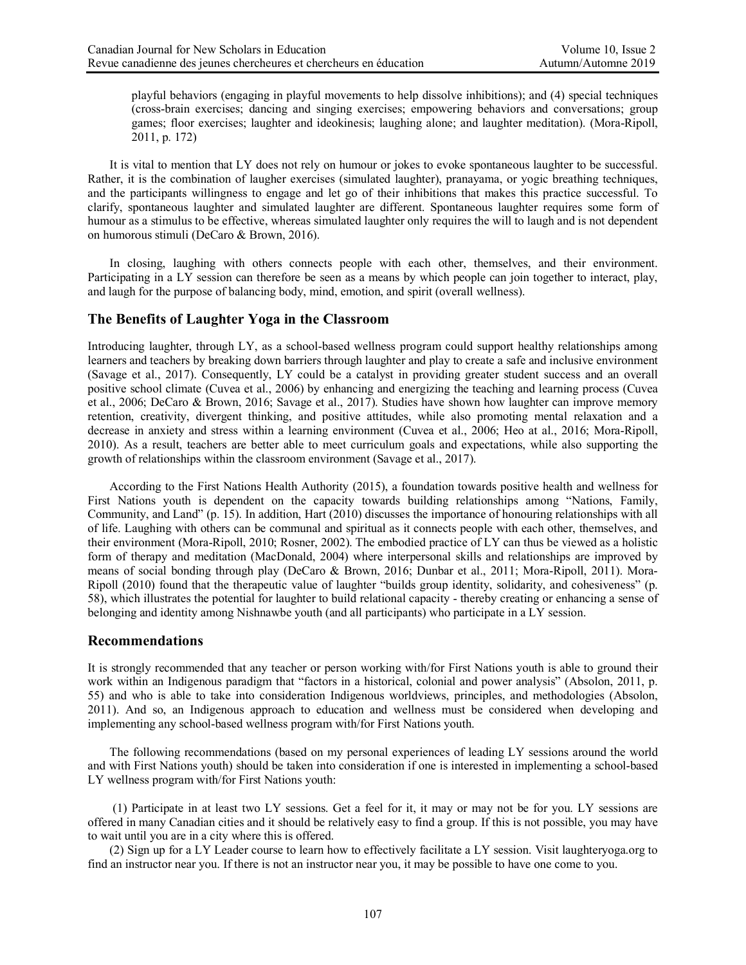playful behaviors (engaging in playful movements to help dissolve inhibitions); and (4) special techniques (cross-brain exercises; dancing and singing exercises; empowering behaviors and conversations; group games; floor exercises; laughter and ideokinesis; laughing alone; and laughter meditation). (Mora-Ripoll, 2011, p. 172)

It is vital to mention that LY does not rely on humour or jokes to evoke spontaneous laughter to be successful. Rather, it is the combination of laugher exercises (simulated laughter), pranayama, or yogic breathing techniques, and the participants willingness to engage and let go of their inhibitions that makes this practice successful. To clarify, spontaneous laughter and simulated laughter are different. Spontaneous laughter requires some form of humour as a stimulus to be effective, whereas simulated laughter only requires the will to laugh and is not dependent on humorous stimuli (DeCaro & Brown, 2016).

In closing, laughing with others connects people with each other, themselves, and their environment. Participating in a LY session can therefore be seen as a means by which people can join together to interact, play, and laugh for the purpose of balancing body, mind, emotion, and spirit (overall wellness).

#### **The Benefits of Laughter Yoga in the Classroom**

Introducing laughter, through LY, as a school-based wellness program could support healthy relationships among learners and teachers by breaking down barriers through laughter and play to create a safe and inclusive environment (Savage et al., 2017). Consequently, LY could be a catalyst in providing greater student success and an overall positive school climate (Cuvea et al., 2006) by enhancing and energizing the teaching and learning process (Cuvea et al., 2006; DeCaro & Brown, 2016; Savage et al., 2017). Studies have shown how laughter can improve memory retention, creativity, divergent thinking, and positive attitudes, while also promoting mental relaxation and a decrease in anxiety and stress within a learning environment (Cuvea et al., 2006; Heo at al., 2016; Mora-Ripoll, 2010). As a result, teachers are better able to meet curriculum goals and expectations, while also supporting the growth of relationships within the classroom environment (Savage et al., 2017).

According to the First Nations Health Authority (2015), a foundation towards positive health and wellness for First Nations youth is dependent on the capacity towards building relationships among "Nations, Family, Community, and Land" (p. 15). In addition, Hart (2010) discusses the importance of honouring relationships with all of life. Laughing with others can be communal and spiritual as it connects people with each other, themselves, and their environment (Mora-Ripoll, 2010; Rosner, 2002). The embodied practice of LY can thus be viewed as a holistic form of therapy and meditation (MacDonald, 2004) where interpersonal skills and relationships are improved by means of social bonding through play (DeCaro & Brown, 2016; Dunbar et al., 2011; Mora-Ripoll, 2011). Mora-Ripoll (2010) found that the therapeutic value of laughter "builds group identity, solidarity, and cohesiveness" (p. 58), which illustrates the potential for laughter to build relational capacity - thereby creating or enhancing a sense of belonging and identity among Nishnawbe youth (and all participants) who participate in a LY session.

#### **Recommendations**

It is strongly recommended that any teacher or person working with/for First Nations youth is able to ground their work within an Indigenous paradigm that "factors in a historical, colonial and power analysis" (Absolon, 2011, p. 55) and who is able to take into consideration Indigenous worldviews, principles, and methodologies (Absolon, 2011). And so, an Indigenous approach to education and wellness must be considered when developing and implementing any school-based wellness program with/for First Nations youth.

The following recommendations (based on my personal experiences of leading LY sessions around the world and with First Nations youth) should be taken into consideration if one is interested in implementing a school-based LY wellness program with/for First Nations youth:

(1) Participate in at least two LY sessions. Get a feel for it, it may or may not be for you. LY sessions are offered in many Canadian cities and it should be relatively easy to find a group. If this is not possible, you may have to wait until you are in a city where this is offered.

(2) Sign up for a LY Leader course to learn how to effectively facilitate a LY session. Visit laughteryoga.org to find an instructor near you. If there is not an instructor near you, it may be possible to have one come to you.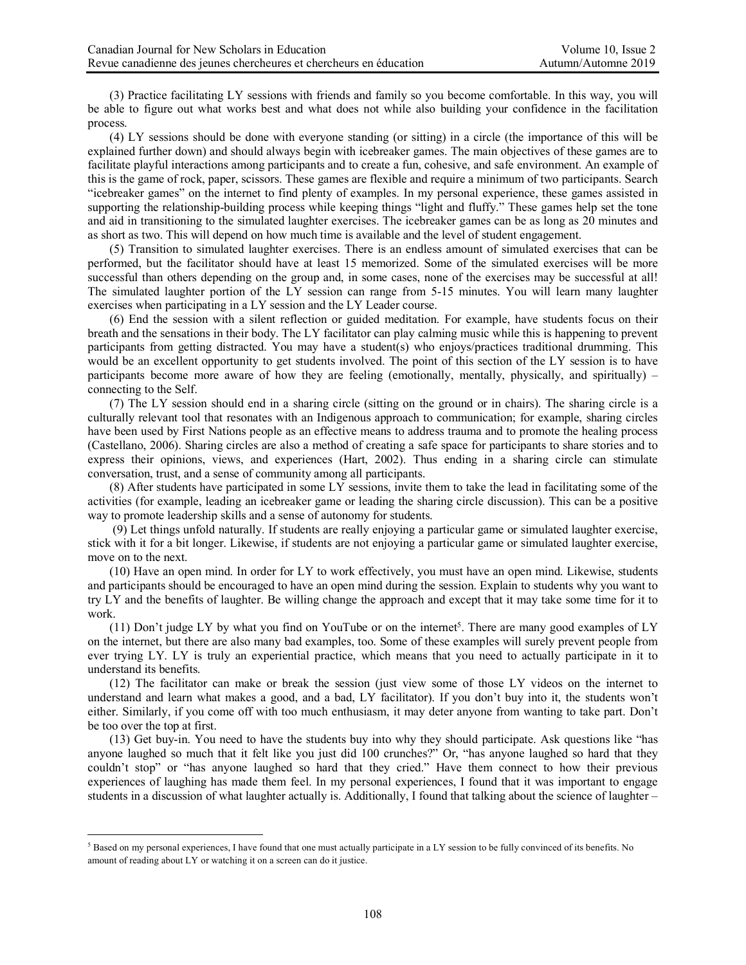(3) Practice facilitating LY sessions with friends and family so you become comfortable. In this way, you will be able to figure out what works best and what does not while also building your confidence in the facilitation process.

(4) LY sessions should be done with everyone standing (or sitting) in a circle (the importance of this will be explained further down) and should always begin with icebreaker games. The main objectives of these games are to facilitate playful interactions among participants and to create a fun, cohesive, and safe environment. An example of this is the game of rock, paper, scissors. These games are flexible and require a minimum of two participants. Search "icebreaker games" on the internet to find plenty of examples. In my personal experience, these games assisted in supporting the relationship-building process while keeping things "light and fluffy." These games help set the tone and aid in transitioning to the simulated laughter exercises. The icebreaker games can be as long as 20 minutes and as short as two. This will depend on how much time is available and the level of student engagement.

(5) Transition to simulated laughter exercises. There is an endless amount of simulated exercises that can be performed, but the facilitator should have at least 15 memorized. Some of the simulated exercises will be more successful than others depending on the group and, in some cases, none of the exercises may be successful at all! The simulated laughter portion of the LY session can range from 5-15 minutes. You will learn many laughter exercises when participating in a LY session and the LY Leader course.

(6) End the session with a silent reflection or guided meditation. For example, have students focus on their breath and the sensations in their body. The LY facilitator can play calming music while this is happening to prevent participants from getting distracted. You may have a student(s) who enjoys/practices traditional drumming. This would be an excellent opportunity to get students involved. The point of this section of the LY session is to have participants become more aware of how they are feeling (emotionally, mentally, physically, and spiritually) – connecting to the Self.

(7) The LY session should end in a sharing circle (sitting on the ground or in chairs). The sharing circle is a culturally relevant tool that resonates with an Indigenous approach to communication; for example, sharing circles have been used by First Nations people as an effective means to address trauma and to promote the healing process (Castellano, 2006). Sharing circles are also a method of creating a safe space for participants to share stories and to express their opinions, views, and experiences (Hart, 2002). Thus ending in a sharing circle can stimulate conversation, trust, and a sense of community among all participants.

(8) After students have participated in some LY sessions, invite them to take the lead in facilitating some of the activities (for example, leading an icebreaker game or leading the sharing circle discussion). This can be a positive way to promote leadership skills and a sense of autonomy for students.

(9) Let things unfold naturally. If students are really enjoying a particular game or simulated laughter exercise, stick with it for a bit longer. Likewise, if students are not enjoying a particular game or simulated laughter exercise, move on to the next.

(10) Have an open mind. In order for LY to work effectively, you must have an open mind. Likewise, students and participants should be encouraged to have an open mind during the session. Explain to students why you want to try LY and the benefits of laughter. Be willing change the approach and except that it may take some time for it to work.

(11) Don't judge LY by what you find on YouTube or on the internet<sup>5</sup>. There are many good examples of LY on the internet, but there are also many bad examples, too. Some of these examples will surely prevent people from ever trying LY. LY is truly an experiential practice, which means that you need to actually participate in it to understand its benefits.

(12) The facilitator can make or break the session (just view some of those LY videos on the internet to understand and learn what makes a good, and a bad, LY facilitator). If you don't buy into it, the students won't either. Similarly, if you come off with too much enthusiasm, it may deter anyone from wanting to take part. Don't be too over the top at first.

(13) Get buy-in. You need to have the students buy into why they should participate. Ask questions like "has anyone laughed so much that it felt like you just did 100 crunches?" Or, "has anyone laughed so hard that they couldn't stop" or "has anyone laughed so hard that they cried." Have them connect to how their previous experiences of laughing has made them feel. In my personal experiences, I found that it was important to engage students in a discussion of what laughter actually is. Additionally, I found that talking about the science of laughter –

 <sup>5</sup> Based on my personal experiences, I have found that one must actually participate in a LY session to be fully convinced of its benefits. No amount of reading about LY or watching it on a screen can do it justice.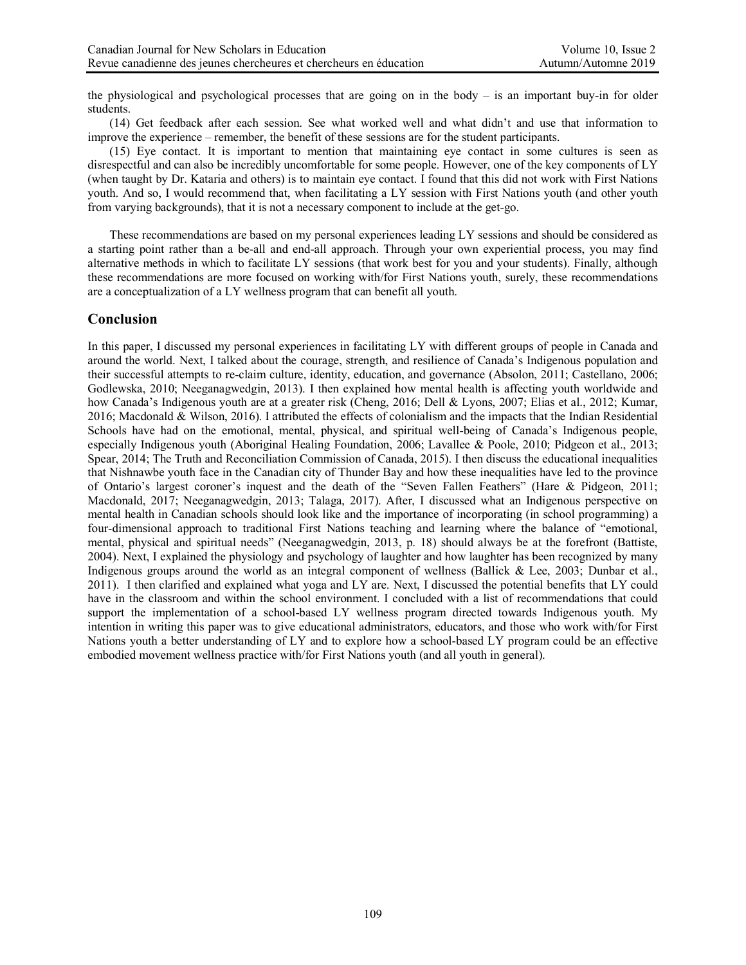the physiological and psychological processes that are going on in the body – is an important buy-in for older students.

(14) Get feedback after each session. See what worked well and what didn't and use that information to improve the experience – remember, the benefit of these sessions are for the student participants.

(15) Eye contact. It is important to mention that maintaining eye contact in some cultures is seen as disrespectful and can also be incredibly uncomfortable for some people. However, one of the key components of LY (when taught by Dr. Kataria and others) is to maintain eye contact. I found that this did not work with First Nations youth. And so, I would recommend that, when facilitating a LY session with First Nations youth (and other youth from varying backgrounds), that it is not a necessary component to include at the get-go.

These recommendations are based on my personal experiences leading LY sessions and should be considered as a starting point rather than a be-all and end-all approach. Through your own experiential process, you may find alternative methods in which to facilitate LY sessions (that work best for you and your students). Finally, although these recommendations are more focused on working with/for First Nations youth, surely, these recommendations are a conceptualization of a LY wellness program that can benefit all youth.

## **Conclusion**

In this paper, I discussed my personal experiences in facilitating LY with different groups of people in Canada and around the world. Next, I talked about the courage, strength, and resilience of Canada's Indigenous population and their successful attempts to re-claim culture, identity, education, and governance (Absolon, 2011; Castellano, 2006; Godlewska, 2010; Neeganagwedgin, 2013). I then explained how mental health is affecting youth worldwide and how Canada's Indigenous youth are at a greater risk (Cheng, 2016; Dell & Lyons, 2007; Elias et al., 2012; Kumar, 2016; Macdonald & Wilson, 2016). I attributed the effects of colonialism and the impacts that the Indian Residential Schools have had on the emotional, mental, physical, and spiritual well-being of Canada's Indigenous people, especially Indigenous youth (Aboriginal Healing Foundation, 2006; Lavallee & Poole, 2010; Pidgeon et al., 2013; Spear, 2014; The Truth and Reconciliation Commission of Canada, 2015). I then discuss the educational inequalities that Nishnawbe youth face in the Canadian city of Thunder Bay and how these inequalities have led to the province of Ontario's largest coroner's inquest and the death of the "Seven Fallen Feathers" (Hare & Pidgeon, 2011; Macdonald, 2017; Neeganagwedgin, 2013; Talaga, 2017). After, I discussed what an Indigenous perspective on mental health in Canadian schools should look like and the importance of incorporating (in school programming) a four-dimensional approach to traditional First Nations teaching and learning where the balance of "emotional, mental, physical and spiritual needs" (Neeganagwedgin, 2013, p. 18) should always be at the forefront (Battiste, 2004). Next, I explained the physiology and psychology of laughter and how laughter has been recognized by many Indigenous groups around the world as an integral component of wellness (Ballick & Lee, 2003; Dunbar et al., 2011). I then clarified and explained what yoga and LY are. Next, I discussed the potential benefits that LY could have in the classroom and within the school environment. I concluded with a list of recommendations that could support the implementation of a school-based LY wellness program directed towards Indigenous youth. My intention in writing this paper was to give educational administrators, educators, and those who work with/for First Nations youth a better understanding of LY and to explore how a school-based LY program could be an effective embodied movement wellness practice with/for First Nations youth (and all youth in general).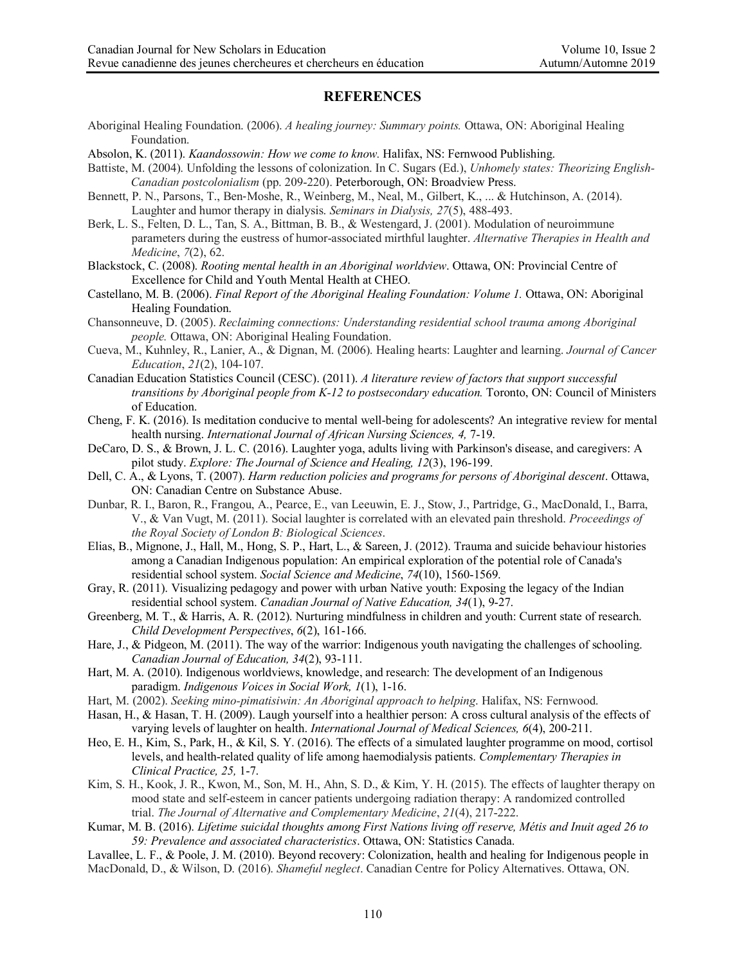#### **REFERENCES**

- Aboriginal Healing Foundation. (2006). *A healing journey: Summary points.* Ottawa, ON: Aboriginal Healing Foundation.
- Absolon, K. (2011). *Kaandossowin: How we come to know.* Halifax, NS: Fernwood Publishing.
- Battiste, M. (2004). Unfolding the lessons of colonization. In C. Sugars (Ed.), *Unhomely states: Theorizing English-Canadian postcolonialism* (pp. 209-220). Peterborough, ON: Broadview Press.
- Bennett, P. N., Parsons, T., Ben-Moshe, R., Weinberg, M., Neal, M., Gilbert, K., ... & Hutchinson, A. (2014). Laughter and humor therapy in dialysis. *Seminars in Dialysis, 27*(5), 488-493.
- Berk, L. S., Felten, D. L., Tan, S. A., Bittman, B. B., & Westengard, J. (2001). Modulation of neuroimmune parameters during the eustress of humor-associated mirthful laughter. *Alternative Therapies in Health and Medicine*, *7*(2), 62.
- Blackstock, C. (2008). *Rooting mental health in an Aboriginal worldview*. Ottawa, ON: Provincial Centre of Excellence for Child and Youth Mental Health at CHEO.
- Castellano, M. B. (2006). *Final Report of the Aboriginal Healing Foundation: Volume 1*. Ottawa, ON: Aboriginal Healing Foundation.
- Chansonneuve, D. (2005). *Reclaiming connections: Understanding residential school trauma among Aboriginal people.* Ottawa, ON: Aboriginal Healing Foundation.
- Cueva, M., Kuhnley, R., Lanier, A., & Dignan, M. (2006). Healing hearts: Laughter and learning. *Journal of Cancer Education*, *21*(2), 104-107.
- Canadian Education Statistics Council (CESC). (2011). *A literature review of factors that support successful transitions by Aboriginal people from K-12 to postsecondary education.* Toronto, ON: Council of Ministers of Education.
- Cheng, F. K. (2016). Is meditation conducive to mental well-being for adolescents? An integrative review for mental health nursing. *International Journal of African Nursing Sciences, 4,* 7-19.
- DeCaro, D. S., & Brown, J. L. C. (2016). Laughter yoga, adults living with Parkinson's disease, and caregivers: A pilot study. *Explore: The Journal of Science and Healing, 12*(3), 196-199.
- Dell, C. A., & Lyons, T. (2007). *Harm reduction policies and programs for persons of Aboriginal descent*. Ottawa, ON: Canadian Centre on Substance Abuse.
- Dunbar, R. I., Baron, R., Frangou, A., Pearce, E., van Leeuwin, E. J., Stow, J., Partridge, G., MacDonald, I., Barra, V., & Van Vugt, M. (2011). Social laughter is correlated with an elevated pain threshold. *Proceedings of the Royal Society of London B: Biological Sciences*.
- Elias, B., Mignone, J., Hall, M., Hong, S. P., Hart, L., & Sareen, J. (2012). Trauma and suicide behaviour histories among a Canadian Indigenous population: An empirical exploration of the potential role of Canada's residential school system. *Social Science and Medicine*, *74*(10), 1560-1569.
- Gray, R. (2011). Visualizing pedagogy and power with urban Native youth: Exposing the legacy of the Indian residential school system. *Canadian Journal of Native Education, 34*(1), 9-27.
- Greenberg, M. T., & Harris, A. R. (2012). Nurturing mindfulness in children and youth: Current state of research. *Child Development Perspectives*, *6*(2), 161-166.
- Hare, J., & Pidgeon, M. (2011). The way of the warrior: Indigenous youth navigating the challenges of schooling. *Canadian Journal of Education, 34*(2), 93-111.
- Hart, M. A. (2010). Indigenous worldviews, knowledge, and research: The development of an Indigenous paradigm. *Indigenous Voices in Social Work, 1*(1), 1-16.
- Hart, M. (2002). *Seeking mino-pimatisiwin: An Aboriginal approach to helping*. Halifax, NS: Fernwood.
- Hasan, H., & Hasan, T. H. (2009). Laugh yourself into a healthier person: A cross cultural analysis of the effects of varying levels of laughter on health. *International Journal of Medical Sciences, 6*(4), 200-211.
- Heo, E. H., Kim, S., Park, H., & Kil, S. Y. (2016). The effects of a simulated laughter programme on mood, cortisol levels, and health-related quality of life among haemodialysis patients. *Complementary Therapies in Clinical Practice, 25,* 1-7.
- Kim, S. H., Kook, J. R., Kwon, M., Son, M. H., Ahn, S. D., & Kim, Y. H. (2015). The effects of laughter therapy on mood state and self-esteem in cancer patients undergoing radiation therapy: A randomized controlled trial. *The Journal of Alternative and Complementary Medicine*, *21*(4), 217-222.
- Kumar, M. B. (2016). *Lifetime suicidal thoughts among First Nations living off reserve, Métis and Inuit aged 26 to 59: Prevalence and associated characteristics*. Ottawa, ON: Statistics Canada.
- Lavallee, L. F., & Poole, J. M. (2010). Beyond recovery: Colonization, health and healing for Indigenous people in MacDonald, D., & Wilson, D. (2016). *Shameful neglect*. Canadian Centre for Policy Alternatives. Ottawa, ON.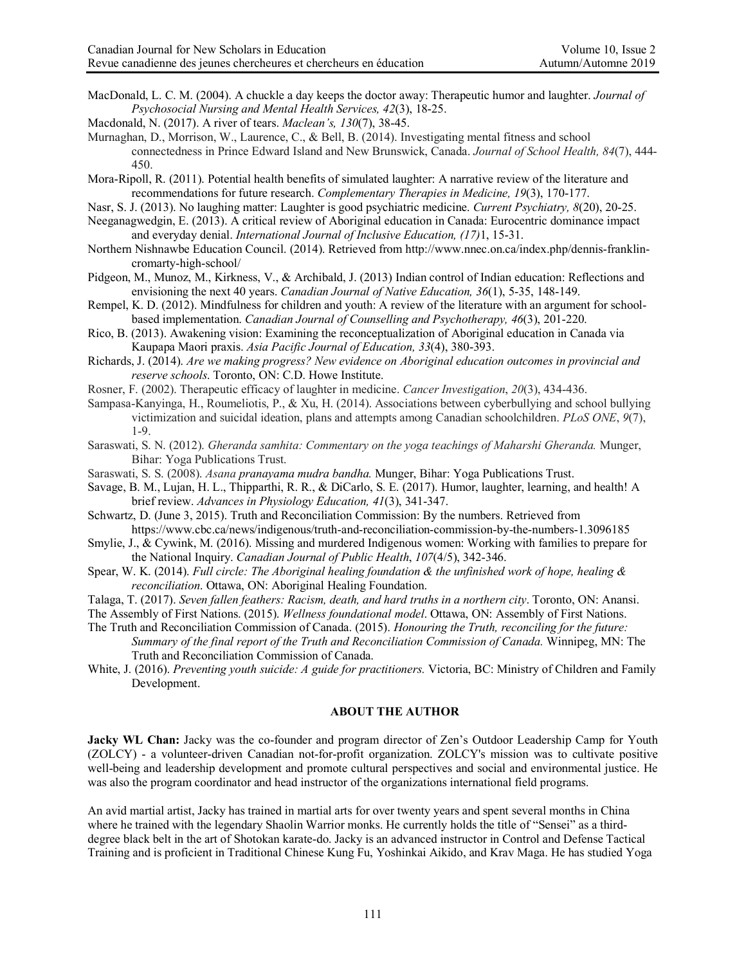- MacDonald, L. C. M. (2004). A chuckle a day keeps the doctor away: Therapeutic humor and laughter. *Journal of Psychosocial Nursing and Mental Health Services, 42*(3), 18-25.
- Macdonald, N. (2017). A river of tears. *Maclean's, 130*(7), 38-45.
- Murnaghan, D., Morrison, W., Laurence, C., & Bell, B. (2014). Investigating mental fitness and school connectedness in Prince Edward Island and New Brunswick, Canada. *Journal of School Health, 84*(7), 444- 450.
- Mora-Ripoll, R. (2011). Potential health benefits of simulated laughter: A narrative review of the literature and recommendations for future research. *Complementary Therapies in Medicine, 19*(3), 170-177.
- Nasr, S. J. (2013). No laughing matter: Laughter is good psychiatric medicine. *Current Psychiatry, 8*(20), 20-25.
- Neeganagwedgin, E. (2013). A critical review of Aboriginal education in Canada: Eurocentric dominance impact and everyday denial. *International Journal of Inclusive Education, (17)*1, 15-31.
- Northern Nishnawbe Education Council. (2014). Retrieved from http://www.nnec.on.ca/index.php/dennis-franklincromarty-high-school/
- Pidgeon, M., Munoz, M., Kirkness, V., & Archibald, J. (2013) Indian control of Indian education: Reflections and envisioning the next 40 years. *Canadian Journal of Native Education, 36*(1), 5-35, 148-149.
- Rempel, K. D. (2012). Mindfulness for children and youth: A review of the literature with an argument for schoolbased implementation. *Canadian Journal of Counselling and Psychotherapy, 46*(3), 201-220.
- Rico, B. (2013). Awakening vision: Examining the reconceptualization of Aboriginal education in Canada via Kaupapa Maori praxis. *Asia Pacific Journal of Education, 33*(4), 380-393.
- Richards, J. (2014). *Are we making progress? New evidence on Aboriginal education outcomes in provincial and reserve schools*. Toronto, ON: C.D. Howe Institute.
- Rosner, F. (2002). Therapeutic efficacy of laughter in medicine. *Cancer Investigation*, *20*(3), 434-436.
- Sampasa-Kanyinga, H., Roumeliotis, P., & Xu, H. (2014). Associations between cyberbullying and school bullying victimization and suicidal ideation, plans and attempts among Canadian schoolchildren. *PLoS ONE*, *9*(7), 1-9.
- Saraswati, S. N. (2012). *Gheranda samhita: Commentary on the yoga teachings of Maharshi Gheranda.* Munger, Bihar: Yoga Publications Trust.
- Saraswati, S. S. (2008). *Asana pranayama mudra bandha.* Munger, Bihar: Yoga Publications Trust.
- Savage, B. M., Lujan, H. L., Thipparthi, R. R., & DiCarlo, S. E. (2017). Humor, laughter, learning, and health! A brief review. *Advances in Physiology Education, 41*(3), 341-347.
- Schwartz, D. (June 3, 2015). Truth and Reconciliation Commission: By the numbers. Retrieved from https://www.cbc.ca/news/indigenous/truth-and-reconciliation-commission-by-the-numbers-1.3096185
- Smylie, J., & Cywink, M. (2016). Missing and murdered Indigenous women: Working with families to prepare for the National Inquiry. *Canadian Journal of Public Health*, *107*(4/5), 342-346.
- Spear, W. K. (2014). *Full circle: The Aboriginal healing foundation & the unfinished work of hope, healing & reconciliation*. Ottawa, ON: Aboriginal Healing Foundation.
- Talaga, T. (2017). *Seven fallen feathers: Racism, death, and hard truths in a northern city*. Toronto, ON: Anansi.
- The Assembly of First Nations. (2015). *Wellness foundational model*. Ottawa, ON: Assembly of First Nations.
- The Truth and Reconciliation Commission of Canada. (2015). *Honouring the Truth, reconciling for the future:* 
	- *Summary of the final report of the Truth and Reconciliation Commission of Canada.* Winnipeg, MN: The Truth and Reconciliation Commission of Canada.
- White, J. (2016). *Preventing youth suicide: A guide for practitioners.* Victoria, BC: Ministry of Children and Family Development.

#### **ABOUT THE AUTHOR**

**Jacky WL Chan:** Jacky was the co-founder and program director of Zen's Outdoor Leadership Camp for Youth (ZOLCY) - a volunteer-driven Canadian not-for-profit organization. ZOLCY's mission was to cultivate positive well-being and leadership development and promote cultural perspectives and social and environmental justice. He was also the program coordinator and head instructor of the organizations international field programs.

An avid martial artist, Jacky has trained in martial arts for over twenty years and spent several months in China where he trained with the legendary Shaolin Warrior monks. He currently holds the title of "Sensei" as a thirddegree black belt in the art of Shotokan karate-do. Jacky is an advanced instructor in Control and Defense Tactical Training and is proficient in Traditional Chinese Kung Fu, Yoshinkai Aikido, and Krav Maga. He has studied Yoga